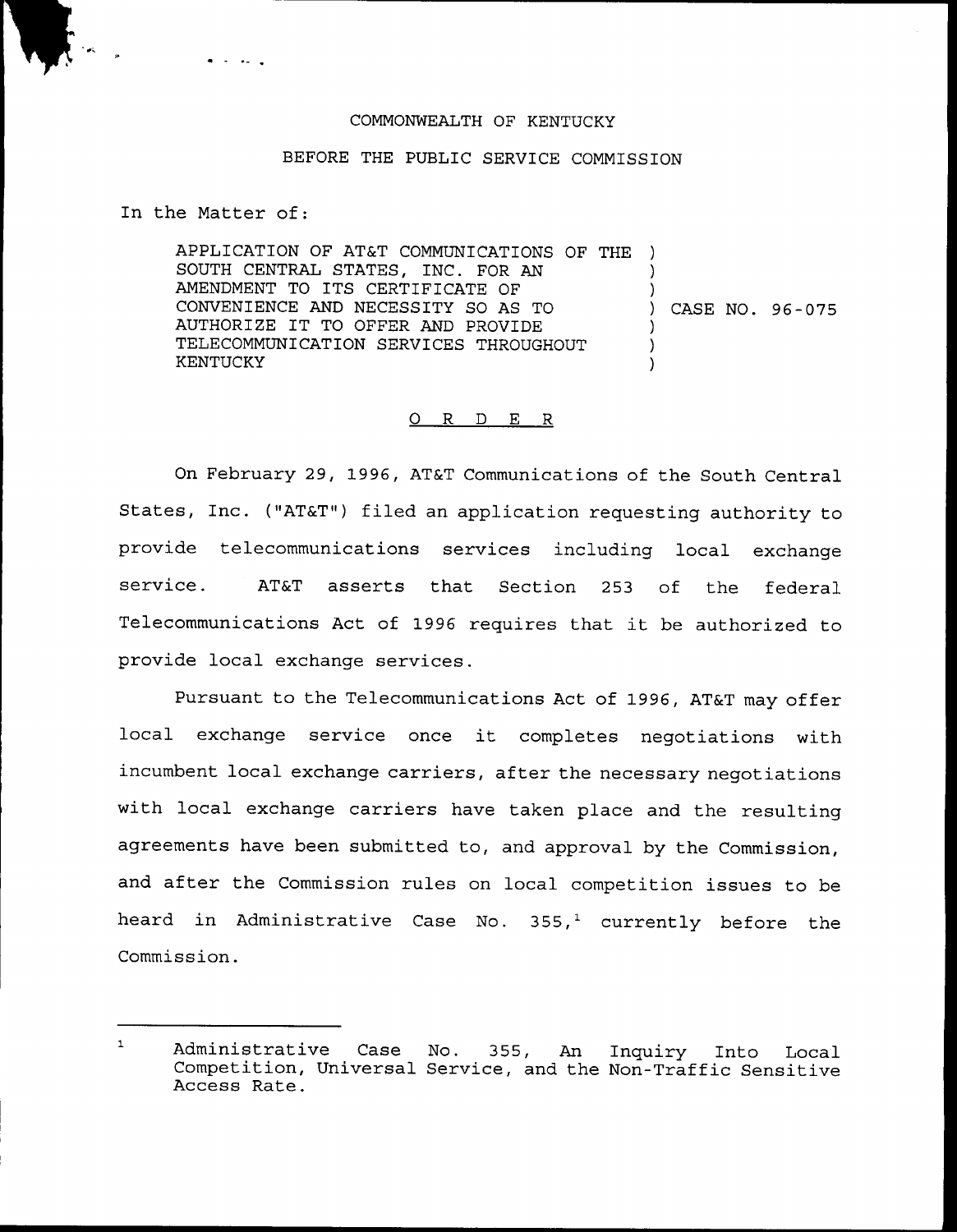## COMMONWEALTH OF KENTUCKY

## BEFORE THE PUBLIC SERVICE COMMISSION

In the Matter of:

APPLICATION OF AT&T COMMUNICATIONS OF THE ) SOUTH CENTRAL STATES, INC. FOR AN AMENDMENT TO ITS CERTIFICATE OF CONVENIENCE AND NECESSITY SO AS TO AUTHORIZE IT TO OFFER AND PROVIDE TELECOMMUNICATION SERVICES THROUGHOUT KENTUCKY ) ) ) CASE NO. 96 —075 ) ) )

## 0 R <sup>D</sup> E R

On February 29, 1996, AT&T Communications of the South Central States, Inc. ("AT&T") filed an application requesting authority to provide telecommunications services including local exchange service. AT&T asserts that Section 253 of the federal Telecommunications Act of 1996 requires that it be authorized to provide local exchange services.

Pursuant to the Telecommunications Act of 1996, AT&T may offer local exchange service once it completes negotiations with incumbent local exchange carriers, after the necessary negotiations with local exchange carriers have taken place and the resulting agreements have been submitted to, and approval by the Commission, and after the Commission rules on local competition issues to be heard in Administrative Case No.  $355<sup>1</sup>$  currently before the Commission .

 $\mathbf 1$ Administrative Case No. 355, An Inquiry Into Local Competition, Universal Service, and the Non-Traffic Sensitive Access Rate.